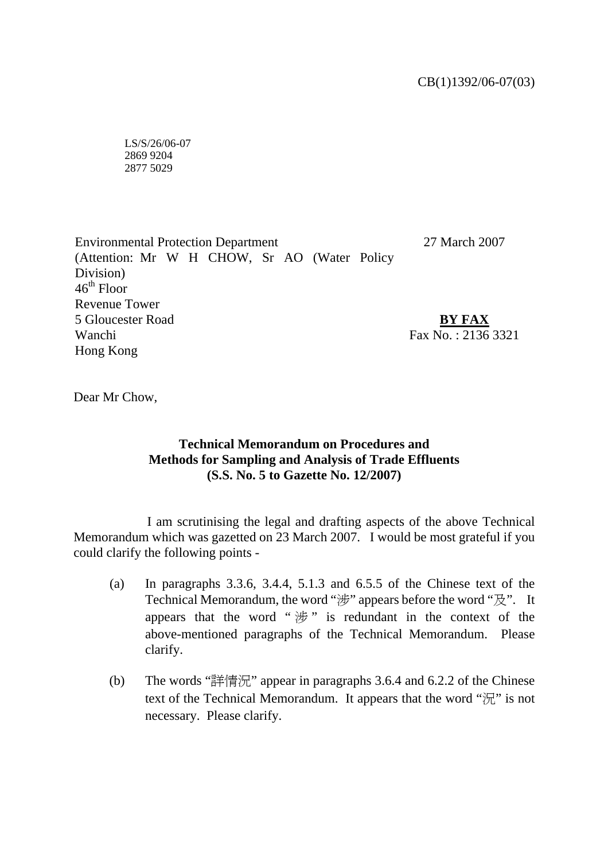LS/S/26/06-07 2869 9204 2877 5029

Environmental Protection Department (Attention: Mr W H CHOW, Sr AO (Water Policy Division)  $46^{\text{th}}$  Floor Revenue Tower 5 Gloucester Road Wanchi Hong Kong 27 March 2007 **BY FAX** Fax  $N_0$ : 2136 3321

Dear Mr Chow,

## **Technical Memorandum on Procedures and Methods for Sampling and Analysis of Trade Effluents (S.S. No. 5 to Gazette No. 12/2007)**

 I am scrutinising the legal and drafting aspects of the above Technical Memorandum which was gazetted on 23 March 2007. I would be most grateful if you could clarify the following points -

- (a) In paragraphs  $3.3.6$ ,  $3.4.4$ ,  $5.1.3$  and  $6.5.5$  of the Chinese text of the Technical Memorandum, the word "涉" appears before the word "及". It appears that the word " $\#$ " is redundant in the context of the above-mentioned paragraphs of the Technical Memorandum. Please clarify.
- (b) The words "詳情況" appear in paragraphs 3.6.4 and 6.2.2 of the Chinese text of the Technical Memorandum. It appears that the word " $\mathcal{T}$ " is not necessary. Please clarify.